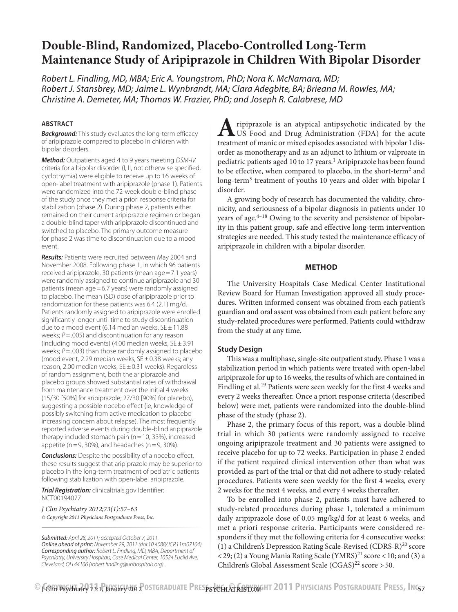# **Double-Blind, Randomized, Placebo-Controlled Long-Term Maintenance Study of Aripiprazole in Children With Bipolar Disorder**

*Robert L. Findling, MD, MBA; Eric A. Youngstrom, PhD; Nora K. McNamara, MD; Robert J. Stansbrey, MD; Jaime L. Wynbrandt, MA; Clara Adegbite, BA; Brieana M. Rowles, MA; Christine A. Demeter, MA; Thomas W. Frazier, PhD; and Joseph R. Calabrese, MD*

# **ABSTRACT**

*Background:* This study evaluates the long-term efficacy of aripiprazole compared to placebo in children with bipolar disorders.

*Method:* Outpatients aged 4 to 9 years meeting *DSM-IV* criteria for a bipolar disorder (I, II, not otherwise specified, cyclothymia) were eligible to receive up to 16 weeks of open-label treatment with aripiprazole (phase 1). Patients were randomized into the 72-week double-blind phase of the study once they met a priori response criteria for stabilization (phase 2). During phase 2, patients either remained on their current aripiprazole regimen or began a double-blind taper with aripiprazole discontinued and switched to placebo. The primary outcome measure for phase 2 was time to discontinuation due to a mood event.

*Results:* Patients were recruited between May 2004 and November 2008. Following phase 1, in which 96 patients received aripiprazole, 30 patients (mean age=7.1 years) were randomly assigned to continue aripiprazole and 30 patients (mean age=6.7 years) were randomly assigned to placebo. The mean (SD) dose of aripiprazole prior to randomization for these patients was 6.4 (2.1) mg/d. Patients randomly assigned to aripiprazole were enrolled significantly longer until time to study discontinuation due to a mood event (6.14 median weeks,  $SE \pm 11.88$ ) weeks; *P*=.005) and discontinuation for any reason (including mood events) (4.00 median weeks,  $SE \pm 3.91$ weeks;  $P = .003$ ) than those randomly assigned to placebo (mood event, 2.29 median weeks,  $SE \pm 0.38$  weeks; any reason, 2.00 median weeks,  $SE \pm 0.31$  weeks). Regardless of random assignment, both the aripiprazole and placebo groups showed substantial rates of withdrawal from maintenance treatment over the initial 4 weeks (15/30 [50%] for aripiprazole; 27/30 [90%] for placebo), suggesting a possible nocebo effect (ie, knowledge of possibly switching from active medication to placebo increasing concern about relapse). The most frequently reported adverse events during double-blind aripiprazole therapy included stomach pain ( $n=10$ , 33%), increased appetite ( $n=9$ , 30%), and headaches ( $n=9$ , 30%).

*Conclusions:* Despite the possibility of a nocebo effect, these results suggest that aripiprazole may be superior to placebo in the long-term treatment of pediatric patients following stabilization with open-label aripiprazole.

*Trial Registration:* clinicaltrials.gov Identifier: NCT00194077

*J Clin Psychiatry 2012;73(1):57–63 © Copyright 2011 Physicians Postgraduate Press, Inc.*

*Submitted: April 28, 2011; accepted October 7, 2011. Online ahead of print: November 29, 2011 (doi:10.4088/JCP.11m07104). Corresponding author: Robert L. Findling, MD, MBA, Department of Psychiatry, University Hospitals, Case Medical Center, 10524 Euclid Ave, Cleveland, OH 44106 (robert.findling@uhhospitals.org).*

**A**ripiprazole is an atypical antipsychotic indicated by the US Food and Drug Administration (FDA) for the acute treatment of manic or mixed episodes associated with bipolar I disorder as monotherapy and as an adjunct to lithium or valproate in pediatric patients aged 10 to 17 years.<sup>1</sup> Aripiprazole has been found to be effective, when compared to placebo, in the short-term<sup>2</sup> and long-term<sup>3</sup> treatment of youths 10 years and older with bipolar I disorder.

A growing body of research has documented the validity, chronicity, and seriousness of a bipolar diagnosis in patients under 10 years of age. $4-18$  Owing to the severity and persistence of bipolarity in this patient group, safe and effective long-term intervention strategies are needed. This study tested the maintenance efficacy of aripiprazole in children with a bipolar disorder.

## **METHOD**

The University Hospitals Case Medical Center Institutional Review Board for Human Investigation approved all study procedures. Written informed consent was obtained from each patient's guardian and oral assent was obtained from each patient before any study-related procedures were performed. Patients could withdraw from the study at any time.

## **Study Design**

This was a multiphase, single-site outpatient study. Phase 1 was a stabilization period in which patients were treated with open-label aripiprazole for up to 16 weeks, the results of which are contained in Findling et al.<sup>19</sup> Patients were seen weekly for the first 4 weeks and every 2 weeks thereafter. Once a priori response criteria (described below) were met, patients were randomized into the double-blind phase of the study (phase 2).

Phase 2, the primary focus of this report, was a double-blind trial in which 30 patients were randomly assigned to receive ongoing aripiprazole treatment and 30 patients were assigned to receive placebo for up to 72 weeks. Participation in phase 2 ended if the patient required clinical intervention other than what was provided as part of the trial or that did not adhere to study-related procedures. Patients were seen weekly for the first 4 weeks, every 2 weeks for the next 4 weeks, and every 4 weeks thereafter.

To be enrolled into phase 2, patients must have adhered to study-related procedures during phase 1, tolerated a minimum daily aripiprazole dose of 0.05 mg/kg/d for at least 6 weeks, and met a priori response criteria. Participants were considered responders if they met the following criteria for 4 consecutive weeks: (1) a Children's Depression Rating Scale-Revised (CDRS-R)20 score  $<$  29; (2) a Young Mania Rating Scale (YMRS)<sup>21</sup> score  $<$  10; and (3) a Children's Global Assessment Scale  $(CGAS)^{22}$  score > 50.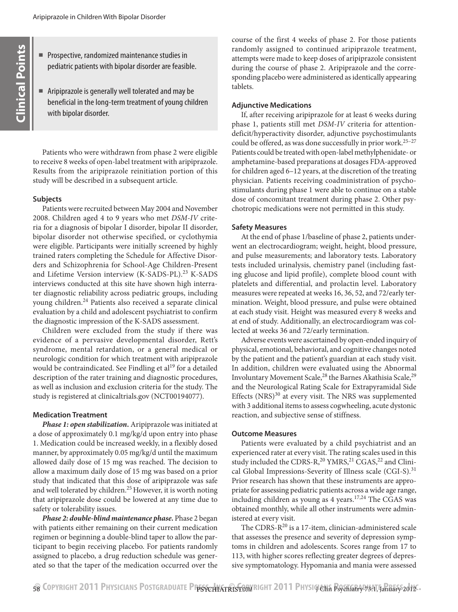- Prospective, randomized maintenance studies in pediatric patients with bipolar disorder are feasible.
- Aripiprazole is generally well tolerated and may be beneficial in the long-term treatment of young children with bipolar disorder.

Patients who were withdrawn from phase 2 were eligible to receive 8 weeks of open-label treatment with aripiprazole. Results from the aripiprazole reinitiation portion of this study will be described in a subsequent article.

## **Subjects**

Patients were recruited between May 2004 and November 2008. Children aged 4 to 9 years who met *DSM-IV* criteria for a diagnosis of bipolar I disorder, bipolar II disorder, bipolar disorder not otherwise specified, or cyclothymia were eligible. Participants were initially screened by highly trained raters completing the Schedule for Affective Disorders and Schizophrenia for School-Age Children-Present and Lifetime Version interview (K-SADS-PL).<sup>23</sup> K-SADS interviews conducted at this site have shown high interrater diagnostic reliability across pediatric groups, including young children.24 Patients also received a separate clinical evaluation by a child and adolescent psychiatrist to confirm the diagnostic impression of the K-SADS assessment.

Children were excluded from the study if there was evidence of a pervasive developmental disorder, Rett's syndrome, mental retardation, or a general medical or neurologic condition for which treatment with aripiprazole would be contraindicated. See Findling et al<sup>19</sup> for a detailed description of the rater training and diagnostic procedures, as well as inclusion and exclusion criteria for the study. The study is registered at clinicaltrials.gov (NCT00194077).

# **Medication Treatment**

*Phase 1: open stabilization***.** Aripiprazole was initiated at a dose of approximately 0.1 mg/kg/d upon entry into phase 1. Medication could be increased weekly, in a flexibly dosed manner, by approximately 0.05 mg/kg/d until the maximum allowed daily dose of 15 mg was reached. The decision to allow a maximum daily dose of 15 mg was based on a prior study that indicated that this dose of aripiprazole was safe and well tolerated by children.<sup>25</sup> However, it is worth noting that aripiprazole dose could be lowered at any time due to safety or tolerability issues.

*Phase 2: double-blind maintenance phase***.** Phase 2 began with patients either remaining on their current medication regimen or beginning a double-blind taper to allow the participant to begin receiving placebo. For patients randomly assigned to placebo, a drug reduction schedule was generated so that the taper of the medication occurred over the course of the first 4 weeks of phase 2. For those patients randomly assigned to continued aripiprazole treatment, attempts were made to keep doses of aripiprazole consistent during the course of phase 2. Aripiprazole and the corresponding placebo were administered as identically appearing tablets.

## **Adjunctive Medications**

If, after receiving aripiprazole for at least 6 weeks during phase 1, patients still met *DSM-IV* criteria for attentiondeficit/hyperactivity disorder, adjunctive psychostimulants could be offered, as was done successfully in prior work.<sup>25-27</sup> Patients could be treated with open-label methylphenidate- or amphetamine-based preparations at dosages FDA-approved for children aged 6–12 years, at the discretion of the treating physician. Patients receiving coadministration of psychostimulants during phase 1 were able to continue on a stable dose of concomitant treatment during phase 2. Other psychotropic medications were not permitted in this study.

## **Safety Measures**

At the end of phase 1/baseline of phase 2, patients underwent an electrocardiogram; weight, height, blood pressure, and pulse measurements; and laboratory tests. Laboratory tests included urinalysis, chemistry panel (including fasting glucose and lipid profile), complete blood count with platelets and differential, and prolactin level. Laboratory measures were repeated at weeks 16, 36, 52, and 72/early termination. Weight, blood pressure, and pulse were obtained at each study visit. Height was measured every 8 weeks and at end of study. Additionally, an electrocardiogram was collected at weeks 36 and 72/early termination.

Adverse events were ascertained by open-ended inquiry of physical, emotional, behavioral, and cognitive changes noted by the patient and the patient's guardian at each study visit. In addition, children were evaluated using the Abnormal Involuntary Movement Scale,<sup>28</sup> the Barnes Akathisia Scale,<sup>29</sup> and the Neurological Rating Scale for Extrapyramidal Side Effects  $(NRS)^{30}$  at every visit. The NRS was supplemented with 3 additional items to assess cogwheeling, acute dystonic reaction, and subjective sense of stiffness.

## **Outcome Measures**

Patients were evaluated by a child psychiatrist and an experienced rater at every visit. The rating scales used in this study included the CDRS-R, $^{20}$  YMRS, $^{21}$  CGAS, $^{22}$  and Clinical Global Impressions-Severity of Illness scale (CGI-S).<sup>31</sup> Prior research has shown that these instruments are appropriate for assessing pediatric patients across a wide age range, including children as young as 4 years.<sup>17,24</sup> The CGAS was obtained monthly, while all other instruments were administered at every visit.

The CDRS-R<sup>20</sup> is a 17-item, clinician-administered scale that assesses the presence and severity of depression symptoms in children and adolescents. Scores range from 17 to 113, with higher scores reflecting greater degrees of depressive symptomatology. Hypomania and mania were assessed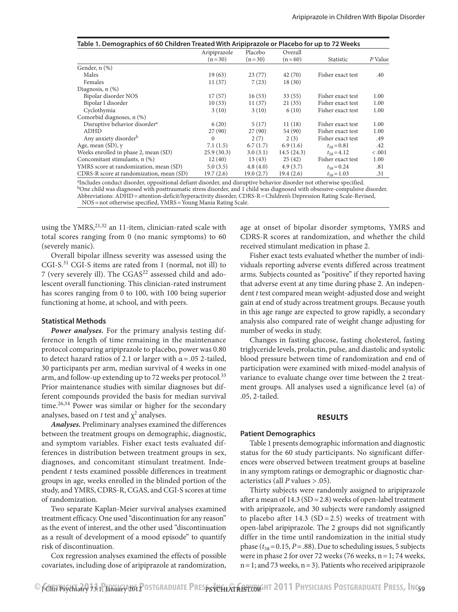| Table 1. Demographics of 60 Children Treated With Aripiprazole or Placebo for up to 72 Weeks |              |           |            |                   |         |  |  |
|----------------------------------------------------------------------------------------------|--------------|-----------|------------|-------------------|---------|--|--|
|                                                                                              | Aripiprazole | Placebo   | Overall    |                   |         |  |  |
|                                                                                              | $(n=30)$     | $(n=30)$  | $(n=60)$   | Statistic         | P Value |  |  |
| Gender, n (%)                                                                                |              |           |            |                   |         |  |  |
| Males                                                                                        | 19(63)       | 23(77)    | 42(70)     | Fisher exact test | .40     |  |  |
| Females                                                                                      | 11(37)       | 7(23)     | 18(30)     |                   |         |  |  |
| Diagnosis, $n$ $(\%)$                                                                        |              |           |            |                   |         |  |  |
| Bipolar disorder NOS                                                                         | 17(57)       | 16(53)    | 33(55)     | Fisher exact test | 1.00    |  |  |
| Bipolar I disorder                                                                           | 10(33)       | 11(37)    | 21(35)     | Fisher exact test | 1.00    |  |  |
| Cyclothymia                                                                                  | 3(10)        | 3(10)     | 6(10)      | Fisher exact test | 1.00    |  |  |
| Comorbid diagnoses, n (%)                                                                    |              |           |            |                   |         |  |  |
| Disruptive behavior disorder <sup>a</sup>                                                    | 6(20)        | 5(17)     | 11(18)     | Fisher exact test | 1.00    |  |  |
| ADHD                                                                                         | 27(90)       | 27(90)    | 54 (90)    | Fisher exact test | 1.00    |  |  |
| Any anxiety disorder <sup>b</sup>                                                            | $\Omega$     | 2(7)      | 2(3)       | Fisher exact test | .49     |  |  |
| Age, mean $(SD)$ , y                                                                         | 7.1(1.5)     | 6.7(1.7)  | 6.9(1.6)   | $t_{58} = 0.81$   | .42     |  |  |
| Weeks enrolled in phase 2, mean (SD)                                                         | 25.9(30.3)   | 3.0(3.1)  | 14.5(24.3) | $t_{58} = 4.12$   | $-.001$ |  |  |
| Concomitant stimulants, n (%)                                                                | 12(40)       | 13(43)    | 25(42)     | Fisher exact test | 1.00    |  |  |
| YMRS score at randomization, mean (SD)                                                       | 5.0(3.5)     | 4.8(4.0)  | 4.9(3.7)   | $t_{58} = 0.24$   | .81     |  |  |
| CDRS-R score at randomization, mean (SD)                                                     | 19.7(2.6)    | 19.0(2.7) | 19.4(2.6)  | $t_{58} = 1.03$   | .31     |  |  |

a Includes conduct disorder, oppositional defiant disorder, and disruptive behavior disorder not otherwise specified. bOne child was diagnosed with posttraumatic stress disorder, and 1 child was diagnosed with obsessive-compulsive disorder.

Abbreviations: ADHD=attention-deficit/hyperactivity disorder, CDRS-R=Children's Depression Rating Scale-Revised,

NOS=not otherwise specified, YMRS=Young Mania Rating Scale.

using the  $YMRS$ <sup>21,32</sup> an 11-item, clinician-rated scale with total scores ranging from 0 (no manic symptoms) to 60 (severely manic).

Overall bipolar illness severity was assessed using the CGI-S.<sup>31</sup> CGI-S items are rated from 1 (normal, not ill) to 7 (very severely ill). The CGAS<sup>22</sup> assessed child and adolescent overall functioning. This clinician-rated instrument has scores ranging from 0 to 100, with 100 being superior functioning at home, at school, and with peers.

#### **Statistical Methods**

*Power analyses.* For the primary analysis testing difference in length of time remaining in the maintenance protocol comparing aripiprazole to placebo, power was 0.80 to detect hazard ratios of 2.1 or larger with  $\alpha$  = .05 2-tailed, 30 participants per arm, median survival of 4 weeks in one arm, and follow-up extending up to 72 weeks per protocol.<sup>33</sup> Prior maintenance studies with similar diagnoses but different compounds provided the basis for median survival time. $26,34$  Power was similar or higher for the secondary analyses, based on  $t$  test and  $\chi^2$  analyses.

*Analyses.* Preliminary analyses examined the differences between the treatment groups on demographic, diagnostic, and symptom variables. Fisher exact tests evaluated differences in distribution between treatment groups in sex, diagnoses, and concomitant stimulant treatment. Independent *t* tests examined possible differences in treatment groups in age, weeks enrolled in the blinded portion of the study, and YMRS, CDRS-R, CGAS, and CGI-S scores at time of randomization.

Two separate Kaplan-Meier survival analyses examined treatment efficacy. One used "discontinuation for any reason" as the event of interest, and the other used "discontinuation as a result of development of a mood episode" to quantify risk of discontinuation.

Cox regression analyses examined the effects of possible covariates, including dose of aripiprazole at randomization,

age at onset of bipolar disorder symptoms, YMRS and CDRS-R scores at randomization, and whether the child received stimulant medication in phase 2.

Fisher exact tests evaluated whether the number of individuals reporting adverse events differed across treatment arms. Subjects counted as "positive" if they reported having that adverse event at any time during phase 2. An independent *t* test compared mean weight-adjusted dose and weight gain at end of study across treatment groups. Because youth in this age range are expected to grow rapidly, a secondary analysis also compared rate of weight change adjusting for number of weeks in study.

Changes in fasting glucose, fasting cholesterol, fasting triglyceride levels, prolactin, pulse, and diastolic and systolic blood pressure between time of randomization and end of participation were examined with mixed-model analysis of variance to evaluate change over time between the 2 treatment groups. All analyses used a significance level (α) of .05, 2-tailed.

#### **RESULTS**

#### **Patient Demographics**

Table 1 presents demographic information and diagnostic status for the 60 study participants. No significant differences were observed between treatment groups at baseline in any symptom ratings or demographic or diagnostic characteristics (all *P* values >.05).

Thirty subjects were randomly assigned to aripiprazole after a mean of  $14.3$  (SD = 2.8) weeks of open-label treatment with aripiprazole, and 30 subjects were randomly assigned to placebo after  $14.3$  (SD = 2.5) weeks of treatment with open-label aripiprazole. The 2 groups did not significantly differ in the time until randomization in the initial study phase  $(t_{58}=0.15, P=.88)$ . Due to scheduling issues, 5 subjects were in phase 2 for over 72 weeks (76 weeks, n=1; 74 weeks,  $n=1$ ; and 73 weeks,  $n=3$ ). Patients who received aripiprazole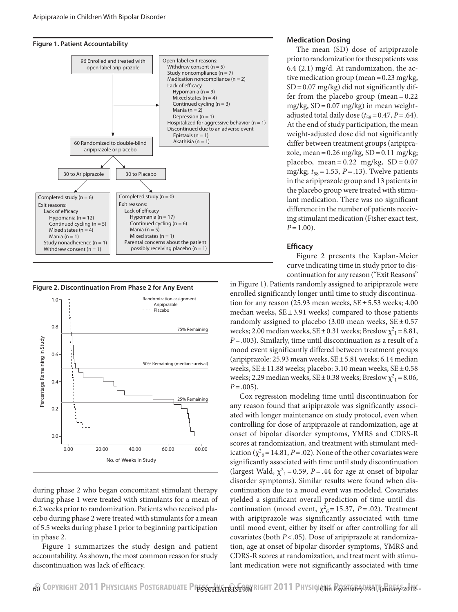





during phase 2 who began concomitant stimulant therapy during phase 1 were treated with stimulants for a mean of 6.2 weeks prior to randomization. Patients who received placebo during phase 2 were treated with stimulants for a mean of 5.5 weeks during phase 1 prior to beginning participation in phase 2.

Figure 1 summarizes the study design and patient accountability. As shown, the most common reason for study discontinuation was lack of efficacy.

#### **Medication Dosing**

The mean (SD) dose of aripiprazole prior to randomization for these patients was 6.4 (2.1) mg/d. At randomization, the active medication group (mean=0.23 mg/kg,  $SD = 0.07$  mg/kg) did not significantly differ from the placebo group (mean =0.22 mg/kg, SD=0.07 mg/kg) in mean weightadjusted total daily dose  $(t_{58}=0.47, P=.64)$ . At the end of study participation, the mean weight-adjusted dose did not significantly differ between treatment groups (aripiprazole, mean =  $0.26$  mg/kg, SD =  $0.11$  mg/kg; placebo, mean =  $0.22 \text{ mg/kg}$ , SD =  $0.07$ mg/kg;  $t_{58}$  = 1.53, *P* = .13). Twelve patients in the aripiprazole group and 13 patients in the placebo group were treated with stimulant medication. There was no significant difference in the number of patients receiving stimulant medication (Fisher exact test, *P*=1.00).

## **Efficacy**

Figure 2 presents the Kaplan-Meier curve indicating time in study prior to discontinuation for any reason ("Exit Reasons"

in Figure 1). Patients randomly assigned to aripiprazole were enrolled significantly longer until time to study discontinuation for any reason (25.93 mean weeks, SE ± 5.53 weeks; 4.00 median weeks,  $SE \pm 3.91$  weeks) compared to those patients randomly assigned to placebo (3.00 mean weeks,  $SE \pm 0.57$ weeks; 2.00 median weeks,  $SE \pm 0.31$  weeks; Breslow  $\chi^2_{1} = 8.81$ , *P*=.003). Similarly, time until discontinuation as a result of a mood event significantly differed between treatment groups (aripiprazole: 25.93 mean weeks,  $SE \pm 5.81$  weeks; 6.14 median weeks,  $SE \pm 11.88$  weeks; placebo: 3.10 mean weeks,  $SE \pm 0.58$ weeks; 2.29 median weeks,  $SE \pm 0.38$  weeks; Breslow  $\chi^2_{1} = 8.06$ , *P*=.005).

Cox regression modeling time until discontinuation for any reason found that aripiprazole was significantly associated with longer maintenance on study protocol, even when controlling for dose of aripiprazole at randomization, age at onset of bipolar disorder symptoms, YMRS and CDRS-R scores at randomization, and treatment with stimulant medication ( $\chi^2$ <sub>6</sub> = 14.81, *P* = .02). None of the other covariates were significantly associated with time until study discontinuation (largest Wald,  $\chi^2$ <sub>1</sub> = 0.59, *P* = .44 for age at onset of bipolar disorder symptoms). Similar results were found when discontinuation due to a mood event was modeled. Covariates yielded a significant overall prediction of time until discontinuation (mood event,  $\chi^2_{6} = 15.37$ , *P* = .02). Treatment with aripiprazole was significantly associated with time until mood event, either by itself or after controlling for all covariates (both *P*<.05). Dose of aripiprazole at randomization, age at onset of bipolar disorder symptoms, YMRS and CDRS-R scores at randomization, and treatment with stimulant medication were not significantly associated with time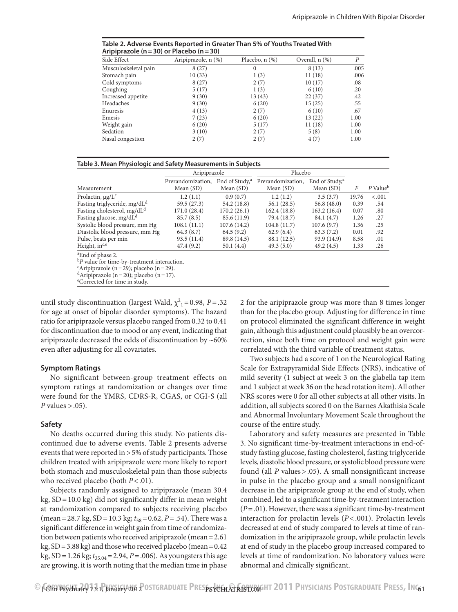| Table 2. Adverse Events Reported in Greater Than 5% of Youths Treated With |  |
|----------------------------------------------------------------------------|--|
| Aripiprazole (n = 30) or Placebo (n = 30)                                  |  |

| Side Effect          | Aripiprazole, n (%) | Placebo, $n$ $(\%)$ | Overall, n (%) | P    |
|----------------------|---------------------|---------------------|----------------|------|
| Musculoskeletal pain | 8(27)               | $\Omega$            | 8(13)          | .005 |
| Stomach pain         | 10(33)              | 1(3)                | 11(18)         | .006 |
| Cold symptoms        | 8(27)               | 2(7)                | 10(17)         | .08  |
| Coughing             | 5(17)               | 1(3)                | 6(10)          | .20  |
| Increased appetite   | 9(30)               | 13(43)              | 22(37)         | .42  |
| Headaches            | 9(30)               | 6(20)               | 15(25)         | .55  |
| Enuresis             | 4(13)               | 2(7)                | 6(10)          | .67  |
| Emesis               | 7(23)               | 6(20)               | 13(22)         | 1.00 |
| Weight gain          | 6(20)               | 5(17)               | 11(18)         | 1.00 |
| Sedation             | 3(10)               | 2(7)                | 5(8)           | 1.00 |
| Nasal congestion     | 2(7)                | 2(7)                | 4(7)           | 1.00 |

## **Table 3. Mean Physiologic and Safety Measurements in Subjects**

|                                                         | Aripiprazole      |                            | Placebo           |                            |       |                      |
|---------------------------------------------------------|-------------------|----------------------------|-------------------|----------------------------|-------|----------------------|
|                                                         | Prerandomization, | End of Study, <sup>a</sup> | Prerandomization, | End of Study, <sup>a</sup> |       |                      |
| Measurement                                             | Mean $(SD)$       | Mean (SD)                  | Mean (SD)         | Mean $(SD)$                | F     | P Value <sup>b</sup> |
| Prolactin, $\mu$ g/L <sup>c</sup>                       | 1.2(1.1)          | 0.9(0.7)                   | 1.2(1.2)          | 3.5(3.7)                   | 19.76 | < .001               |
| Fasting triglyceride, mg/dL <sup>d</sup>                | 59.5 (27.3)       | 54.2 (18.8)                | 56.1(28.5)        | 56.8(48.0)                 | 0.39  | .54                  |
| Fasting cholesterol, mg/dL <sup>d</sup>                 | 171.0(28.4)       | 170.2(26.1)                | 162.4(18.8)       | 163.2(16.4)                | 0.07  | .80                  |
| Fasting glucose, mg/dL <sup>d</sup>                     | 85.7(8.5)         | 85.6 (11.9)                | 79.4 (18.7)       | 84.1 (4.7)                 | 1.26  | .27                  |
| Systolic blood pressure, mm Hg                          | 108.1(11.1)       | 107.6(14.2)                | 104.8(11.7)       | 107.6(9.7)                 | 1.36  | .25                  |
| Diastolic blood pressure, mm Hg                         | 64.3(8.7)         | 64.5(9.2)                  | 62.9(6.4)         | 63.3(7.2)                  | 0.01  | .92                  |
| Pulse, beats per min                                    | 93.5 (11.4)       | 89.8 (14.5)                | 88.1 (12.5)       | 93.9 (14.9)                | 8.58  | .01                  |
| Height, in <sup>c,e</sup>                               | 47.4 (9.2)        | 50.1(4.4)                  | 49.3(5.0)         | 49.2(4.5)                  | 1.33  | .26                  |
| <sup>a</sup> End of phase 2.                            |                   |                            |                   |                            |       |                      |
| <sup>b</sup> P value for time-by-treatment interaction. |                   |                            |                   |                            |       |                      |
| <sup>c</sup> Aripiprazole (n = 29); placebo (n = 29).   |                   |                            |                   |                            |       |                      |
| <sup>d</sup> Aripiprazole (n = 20); placebo (n = 17).   |                   |                            |                   |                            |       |                      |

Corrected for time in study.

until study discontinuation (largest Wald,  $\chi^2$ <sub>1</sub> = 0.98, *P* = .32 for age at onset of bipolar disorder symptoms). The hazard ratio for aripiprazole versus placebo ranged from 0.32 to 0.41 for discontinuation due to mood or any event, indicating that aripiprazole decreased the odds of discontinuation by ~60% even after adjusting for all covariates.

## **Symptom Ratings**

No significant between-group treatment effects on symptom ratings at randomization or changes over time were found for the YMRS, CDRS-R, CGAS, or CGI-S (all *P* values >.05).

## **Safety**

No deaths occurred during this study. No patients discontinued due to adverse events. Table 2 presents adverse events that were reported in >5% of study participants. Those children treated with aripiprazole were more likely to report both stomach and musculoskeletal pain than those subjects who received placebo (both *P*<.01).

Subjects randomly assigned to aripiprazole (mean 30.4  $kg$ ,  $SD = 10.0$  kg) did not significantly differ in mean weight at randomization compared to subjects receiving placebo (mean = 28.7 kg, SD = 10.3 kg;  $t_{58}$  = 0.62, *P* = .54). There was a significant difference in weight gain from time of randomization between patients who received aripiprazole (mean=2.61 kg, SD=3.88 kg) and those who received placebo (mean=0.42 kg, SD=1.26 kg; *t*35.04=2.94, *P*=.006). As youngsters this age are growing, it is worth noting that the median time in phase

2 for the aripiprazole group was more than 8 times longer than for the placebo group. Adjusting for difference in time on protocol eliminated the significant difference in weight gain, although this adjustment could plausibly be an overcorrection, since both time on protocol and weight gain were correlated with the third variable of treatment status.

Two subjects had a score of 1 on the Neurological Rating Scale for Extrapyramidal Side Effects (NRS), indicative of mild severity (1 subject at week 3 on the glabella tap item and 1 subject at week 36 on the head rotation item). All other NRS scores were 0 for all other subjects at all other visits. In addition, all subjects scored 0 on the Barnes Akathisia Scale and Abnormal Involuntary Movement Scale throughout the course of the entire study.

Laboratory and safety measures are presented in Table 3. No significant time-by-treatment interactions in end-ofstudy fasting glucose, fasting cholesterol, fasting triglyceride levels, diastolic blood pressure, or systolic blood pressure were found (all *P* values >.05). A small nonsignificant increase in pulse in the placebo group and a small nonsignificant decrease in the aripiprazole group at the end of study, when combined, led to a significant time-by-treatment interaction (*P*=.01). However, there was a significant time-by-treatment interaction for prolactin levels (*P*< .001). Prolactin levels decreased at end of study compared to levels at time of randomization in the aripiprazole group, while prolactin levels at end of study in the placebo group increased compared to levels at time of randomization. No laboratory values were abnormal and clinically significant.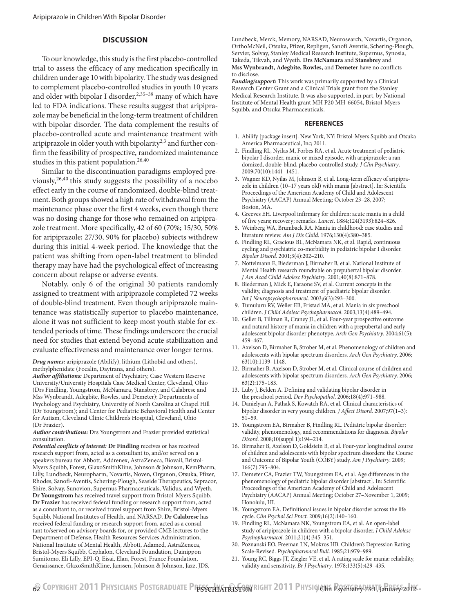## **DISCUSSION**

To our knowledge, this study is the first placebo-controlled trial to assess the efficacy of any medication specifically in children under age 10 with bipolarity. The study was designed to complement placebo-controlled studies in youth 10 years and older with bipolar I disorder,  $2,35-39$  many of which have led to FDA indications. These results suggest that aripiprazole may be beneficial in the long-term treatment of children with bipolar disorder. The data complement the results of placebo-controlled acute and maintenance treatment with aripiprazole in older youth with bipolarity $2,3$  and further confirm the feasibility of prospective, randomized maintenance studies in this patient population.<sup>26,40</sup>

Similar to the discontinuation paradigms employed previously,26,40 this study suggests the possibility of a nocebo effect early in the course of randomized, double-blind treatment. Both groups showed a high rate of withdrawal from the maintenance phase over the first 4 weeks, even though there was no dosing change for those who remained on aripiprazole treatment. More specifically, 42 of 60 (70%; 15/30, 50% for aripiprazole; 27/30, 90% for placebo) subjects withdrew during this initial 4-week period. The knowledge that the patient was shifting from open-label treatment to blinded therapy may have had the psychological effect of increasing concern about relapse or adverse events.

Notably, only 6 of the original 30 patients randomly assigned to treatment with aripiprazole completed 72 weeks of double-blind treatment. Even though aripiprazole maintenance was statistically superior to placebo maintenance, alone it was not sufficient to keep most youth stable for extended periods of time. These findings underscore the crucial need for studies that extend beyond acute stabilization and evaluate effectiveness and maintenance over longer terms.

*Drug names:* aripiprazole (Abilify), lithium (Lithobid and others), methylphenidate (Focalin, Daytrana, and others).

*Author affiliations:* Department of Psychiatry, Case Western Reserve University/University Hospitals Case Medical Center, Cleveland, Ohio (Drs Findling, Youngstrom, McNamara, Stansbrey, and Calabrese and Mss Wynbrandt, Adegbite, Rowles, and Demeter); Departments of Psychology and Psychiatry, University of North Carolina at Chapel Hill (Dr Youngstrom); and Center for Pediatric Behavioral Health and Center for Autism, Cleveland Clinic Children's Hospital, Cleveland, Ohio (Dr Frazier).

*Author contributions:* Drs Youngstrom and Frazier provided statistical consultation.

*Potential conflicts of interest:* **Dr Findling** receives or has received research support from, acted as a consultant to, and/or served on a speakers bureau for Abbott, Addrenex, AstraZeneca, Biovail, Bristol-Myers Squibb, Forest, GlaxoSmithKline, Johnson & Johnson, KemPharm, Lilly, Lundbeck, Neuropharm, Novartis, Noven, Organon, Otsuka, Pfizer, Rhodes, Sanofi-Aventis, Schering-Plough, Seaside Therapeutics, Sepracor, Shire, Solvay, Sunovion, Supernus Pharmaceuticals, Validus, and Wyeth. **Dr Youngstrom** has received travel support from Bristol-Myers Squibb. **Dr Frazier** has received federal funding or research support from, acted as a consultant to, or received travel support from Shire, Bristol-Myers Squibb, National Institutes of Health, and NARSAD. **Dr Calabrese** has received federal funding or research support from, acted as a consultant to/served on advisory boards for, or provided CME lectures to the Department of Defense, Health Resources Services Administration, National Institute of Mental Health, Abbott, Adamed, AstraZeneca, Bristol-Myers Squibb, Cephalon, Cleveland Foundation, Dainippon Sumitomo, Eli Lilly, EPI-Q, Eisai, Elan, Forest, France Foundation, Genaissance, GlaxoSmithKline, Janssen, Johnson & Johnson, Jazz, JDS,

Lundbeck, Merck, Memory, NARSAD, Neurosearch, Novartis, Organon, OrthoMcNeil, Otsuka, Pfizer, Repligen, Sanofi Aventis, Schering-Plough, Servier, Solvay, Stanley Medical Research Institute, Supernus, Synosia, Takeda, Tikvah, and Wyeth. **Drs McNamara** and **Stansbrey** and **Mss Wynbrandt, Adegbite, Rowles,** and **Demeter** have no conflicts to disclose.

*Funding/support:* This work was primarily supported by a Clinical Research Center Grant and a Clinical Trials grant from the Stanley Medical Research Institute. It was also supported, in part, by National Institute of Mental Health grant MH P20 MH-66054, Bristol-Myers Squibb, and Otsuka Pharmaceuticals.

#### **REFERENCES**

- 1. Abilify [package insert]. New York, NY: Bristol-Myers Squibb and Otsuka America Pharmaceutical, Inc; 2011.
- 2. Findling RL, Nyilas M, Forbes RA, et al. Acute treatment of pediatric bipolar I disorder, manic or mixed episode, with aripiprazole: a randomized, double-blind, placebo-controlled study. *J Clin Psychiatry*. 2009;70(10):1441-1451.
- 3. Wagner KD, Nyilas M, Johnson B, et al. Long-term efficacy of aripiprazole in children (10–17 years old) with mania [abstract]. In: Scientific Proceedings of the American Academy of Child and Adolescent Psychiatry (AACAP) Annual Meeting; October 23–28, 2007; Boston, MA.
- 4. Greeves EH. Liverpool infirmary for children: acute mania in a child of five years; recovery; remarks. *Lancet*. 1884;124(3193):824–826.
- 5. Weinberg WA, Brumback RA. Mania in childhood: case studies and literature review. *Am J Dis Child*. 1976;130(4):380-385.
- 6. Findling RL, Gracious BL, McNamara NK, et al. Rapid, continuous cycling and psychiatric co-morbidity in pediatric bipolar I disorder. *Bipolar Disord.* 2001;3(4):202-210.
- 7. Nottelmann E, Biederman J, Birmaher B, et al. National Institute of Mental Health research roundtable on prepubertal bipolar disorder. J Am Acad Child Adolesc Psychiatry. 2001;40(8):871-878.
- 8. Biederman J, Mick E, Faraone SV, et al. Current concepts in the validity, diagnosis and treatment of paediatric bipolar disorder. Int J Neuropsychopharmacol. 2003;6(3):293-300.
- 9. Tumuluru RV, Weller EB, Fristad MA, et al. Mania in six preschool children. *J Child Adolesc Psychopharmacol*. 2003;13(4):489-494.
- 10. Geller B, Tillman R, Craney JL, et al. Four-year prospective outcome and natural history of mania in children with a prepubertal and early adolescent bipolar disorder phenotype. *Arch Gen Psychiatry*. 2004;61(5): 459–467.
- 11. Axelson D, Birmaher B, Strober M, et al. Phenomenology of children and adolescents with bipolar spectrum disorders. *Arch Gen Psychiatry*. 2006; 63(10):1139-1148.
- 12. Birmaher B, Axelson D, Strober M, et al. Clinical course of children and adolescents with bipolar spectrum disorders. *Arch Gen Psychiatry*. 2006;  $63(2):175 - 183.$
- 13. Luby J, Belden A. Defining and validating bipolar disorder in the preschool period. *Dev Psychopathol*. 2006;18(4):971-988.
- 14. Danielyan A, Pathak S, Kowatch RA, et al. Clinical characteristics of bipolar disorder in very young children. *J Affect Disord*. 2007;97(1–3):  $51-59.$
- 15. Youngstrom EA, Birmaher B, Findling RL. Pediatric bipolar disorder: validity, phenomenology, and recommendations for diagnosis. *Bipolar Disord.* 2008;10(suppl 1):194-214.
- 16. Birmaher B, Axelson D, Goldstein B, et al. Four-year longitudinal course of children and adolescents with bipolar spectrum disorders: the Course and Outcome of Bipolar Youth (COBY) study. *Am J Psychiatry*. 2009;  $166(7):795-804.$
- 17. Demeter CA, Frazier TW, Youngstrom EA, et al. Age differences in the phenomenology of pediatric bipolar disorder [abstract]. In: Scientific Proceedings of the American Academy of Child and Adolescent Psychiatry (AACAP) Annual Meeting; October 27–November 1, 2009; Honolulu, HI.
- 18. Youngstrom EA. Definitional issues in bipolar disorder across the life cycle. *Clin Psychol Sci Pract*. 2009;16(2):140-160.
- 19. Findling RL, McNamara NK, Youngstrom EA, et al. An open-label study of aripiprazole in children with a bipolar disorder. *J Child Adolesc*  Psychopharmacol. 2011;21(4):345-351.
- 20. Poznanski EO, Freeman LN, Mokros HB. Children's Depression Rating Scale-Revised. *Psychopharmacol Bull*. 1985;21:979–989.
- 21. Young RC, Biggs JT, Ziegler VE, et al. A rating scale for mania: reliability, validity and sensitivity. *Br J Psychiatry*. 1978;133(5):429-435.